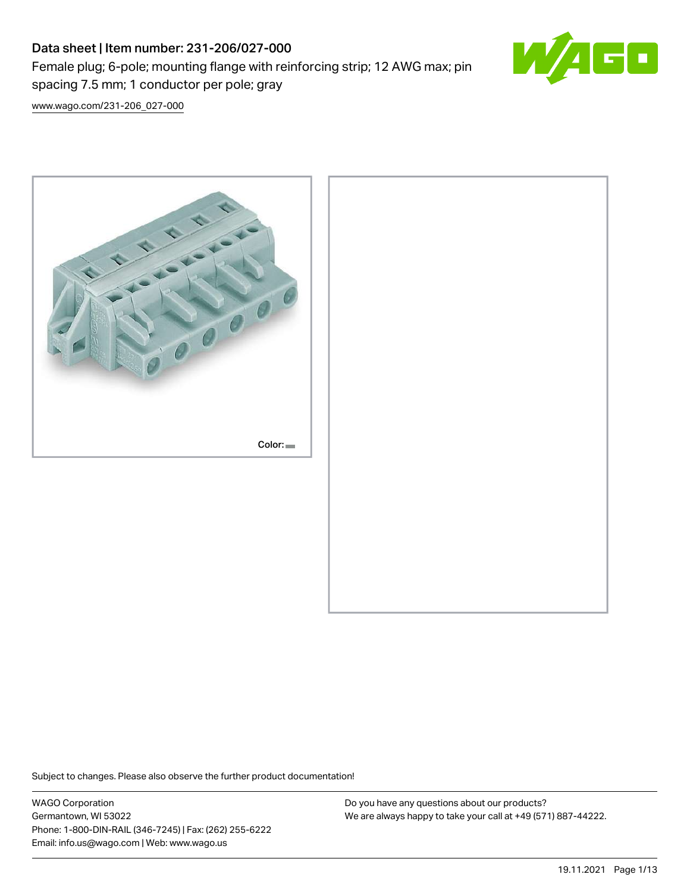Female plug; 6-pole; mounting flange with reinforcing strip; 12 AWG max; pin spacing 7.5 mm; 1 conductor per pole; gray



[www.wago.com/231-206\\_027-000](http://www.wago.com/231-206_027-000)



Subject to changes. Please also observe the further product documentation!

WAGO Corporation Germantown, WI 53022 Phone: 1-800-DIN-RAIL (346-7245) | Fax: (262) 255-6222 Email: info.us@wago.com | Web: www.wago.us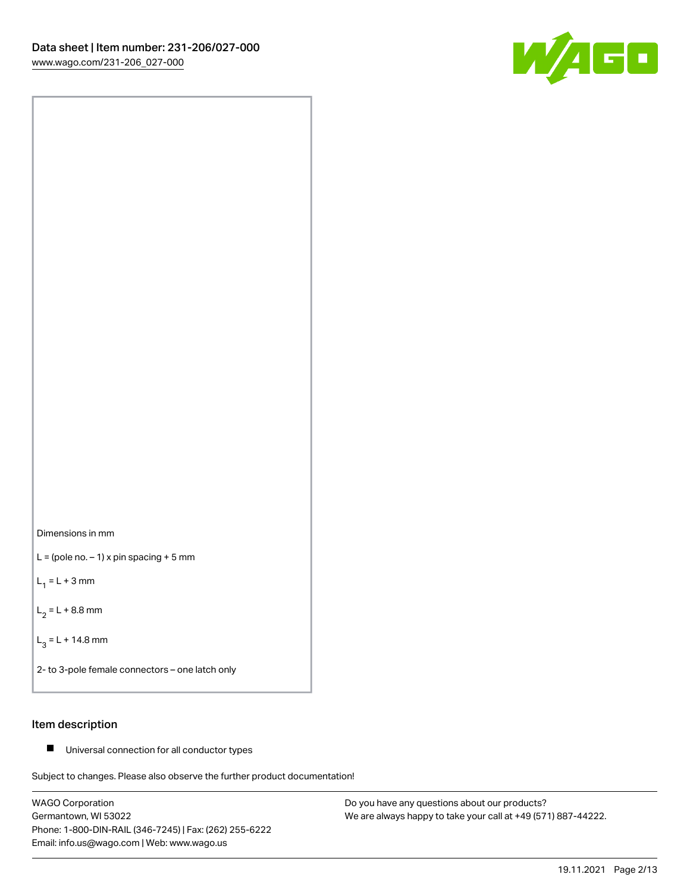



 $L =$  (pole no.  $-1$ ) x pin spacing + 5 mm

 $L_1 = L + 3$  mm

 $L_2 = L + 8.8$  mm

 $L_3 = L + 14.8$  mm

2- to 3-pole female connectors – one latch only

## Item description

■ Universal connection for all conductor types

Subject to changes. Please also observe the further product documentation!

WAGO Corporation Germantown, WI 53022 Phone: 1-800-DIN-RAIL (346-7245) | Fax: (262) 255-6222 Email: info.us@wago.com | Web: www.wago.us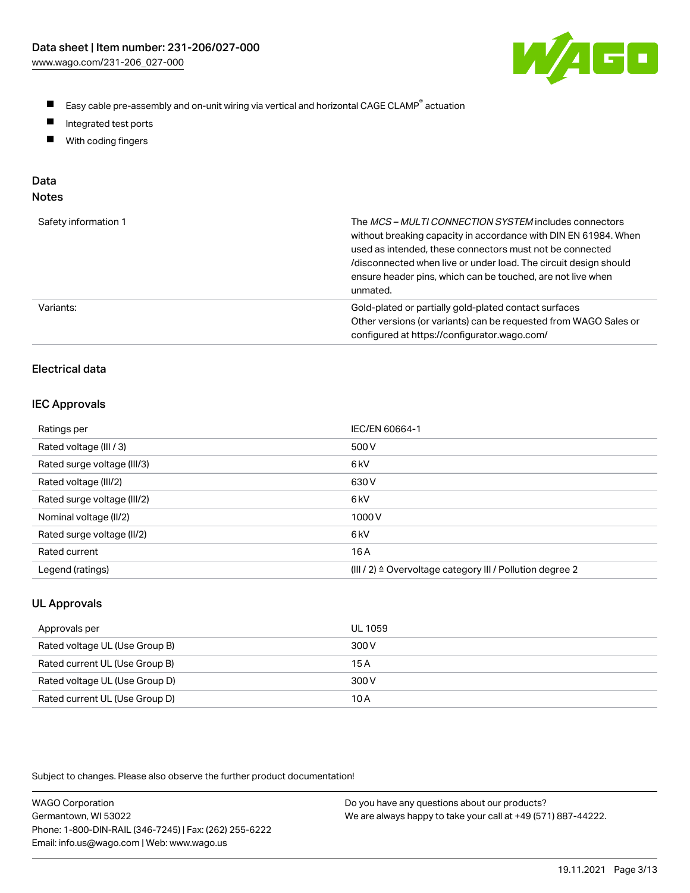

- $\blacksquare$ Easy cable pre-assembly and on-unit wiring via vertical and horizontal CAGE CLAMP<sup>®</sup> actuation
- $\blacksquare$ Integrated test ports
- $\blacksquare$ With coding fingers

# Data

| Safety information 1 | The MCS-MULTI CONNECTION SYSTEM includes connectors<br>without breaking capacity in accordance with DIN EN 61984. When<br>used as intended, these connectors must not be connected<br>/disconnected when live or under load. The circuit design should<br>ensure header pins, which can be touched, are not live when<br>unmated. |
|----------------------|-----------------------------------------------------------------------------------------------------------------------------------------------------------------------------------------------------------------------------------------------------------------------------------------------------------------------------------|
| Variants:            | Gold-plated or partially gold-plated contact surfaces<br>Other versions (or variants) can be requested from WAGO Sales or<br>configured at https://configurator.wago.com/                                                                                                                                                         |

# Electrical data

#### IEC Approvals

| Ratings per                 | IEC/EN 60664-1                                                        |
|-----------------------------|-----------------------------------------------------------------------|
| Rated voltage (III / 3)     | 500 V                                                                 |
| Rated surge voltage (III/3) | 6 <sub>k</sub> V                                                      |
| Rated voltage (III/2)       | 630 V                                                                 |
| Rated surge voltage (III/2) | 6 <sub>k</sub> V                                                      |
| Nominal voltage (II/2)      | 1000V                                                                 |
| Rated surge voltage (II/2)  | 6 <sub>k</sub> V                                                      |
| Rated current               | 16 A                                                                  |
| Legend (ratings)            | $(III / 2)$ $\triangle$ Overvoltage category III / Pollution degree 2 |

## UL Approvals

| Approvals per                  | UL 1059 |
|--------------------------------|---------|
| Rated voltage UL (Use Group B) | 300 V   |
| Rated current UL (Use Group B) | 15 A    |
| Rated voltage UL (Use Group D) | 300 V   |
| Rated current UL (Use Group D) | 10 A    |

| <b>WAGO Corporation</b>                                | Do you have any questions about our products?                 |
|--------------------------------------------------------|---------------------------------------------------------------|
| Germantown, WI 53022                                   | We are always happy to take your call at +49 (571) 887-44222. |
| Phone: 1-800-DIN-RAIL (346-7245)   Fax: (262) 255-6222 |                                                               |
| Email: info.us@wago.com   Web: www.wago.us             |                                                               |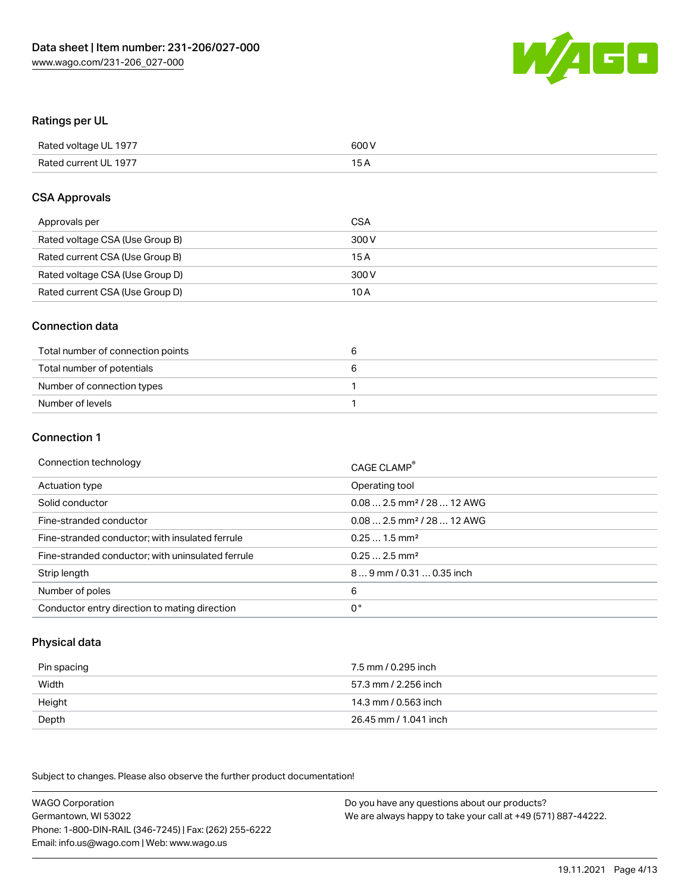

## Ratings per UL

| Rated voltage UL 1977 | 600 V |
|-----------------------|-------|
| Rated current UL 1977 |       |

### CSA Approvals

| Approvals per                   | CSA   |
|---------------------------------|-------|
| Rated voltage CSA (Use Group B) | 300 V |
| Rated current CSA (Use Group B) | 15 A  |
| Rated voltage CSA (Use Group D) | 300 V |
| Rated current CSA (Use Group D) | 10 A  |

#### Connection data

| Total number of connection points |  |
|-----------------------------------|--|
| Total number of potentials        |  |
| Number of connection types        |  |
| Number of levels                  |  |

#### Connection 1

| Connection technology                             | CAGE CLAMP <sup>®</sup>                 |
|---------------------------------------------------|-----------------------------------------|
| Actuation type                                    | Operating tool                          |
| Solid conductor                                   | $0.08$ 2.5 mm <sup>2</sup> / 28  12 AWG |
| Fine-stranded conductor                           | $0.082.5$ mm <sup>2</sup> / 28  12 AWG  |
| Fine-stranded conductor; with insulated ferrule   | $0.251.5$ mm <sup>2</sup>               |
| Fine-stranded conductor; with uninsulated ferrule | $0.252.5$ mm <sup>2</sup>               |
| Strip length                                      | 89 mm / 0.31  0.35 inch                 |
| Number of poles                                   | 6                                       |
| Conductor entry direction to mating direction     | 0°                                      |

# Physical data

| Pin spacing | 7.5 mm / 0.295 inch   |
|-------------|-----------------------|
| Width       | 57.3 mm / 2.256 inch  |
| Height      | 14.3 mm / 0.563 inch  |
| Depth       | 26.45 mm / 1.041 inch |

| <b>WAGO Corporation</b>                                | Do you have any questions about our products?                 |
|--------------------------------------------------------|---------------------------------------------------------------|
| Germantown, WI 53022                                   | We are always happy to take your call at +49 (571) 887-44222. |
| Phone: 1-800-DIN-RAIL (346-7245)   Fax: (262) 255-6222 |                                                               |
| Email: info.us@wago.com   Web: www.wago.us             |                                                               |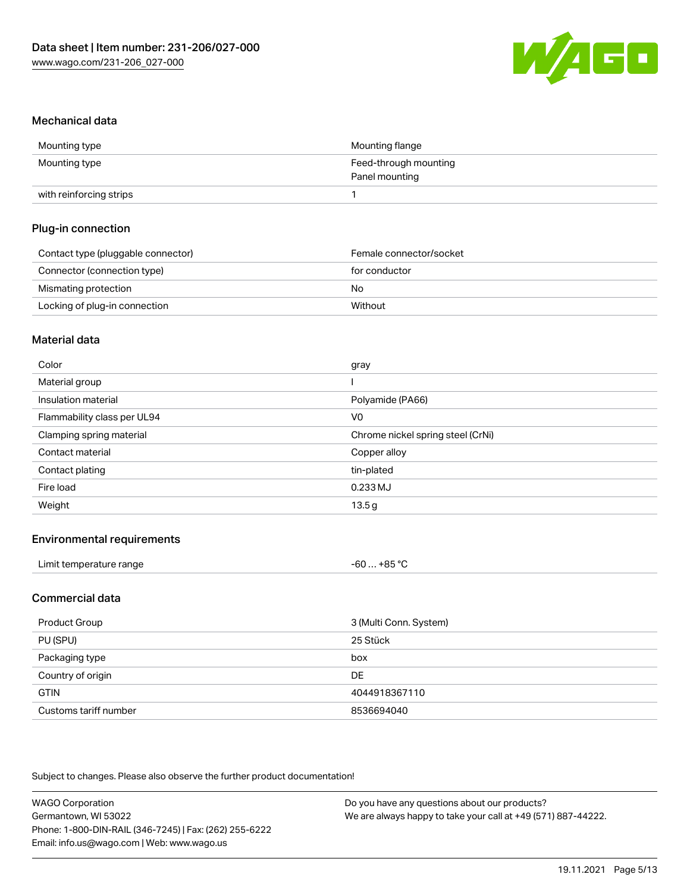

#### Mechanical data

| Mounting type           | Mounting flange       |
|-------------------------|-----------------------|
| Mounting type           | Feed-through mounting |
|                         | Panel mounting        |
| with reinforcing strips |                       |

# Plug-in connection

| Contact type (pluggable connector) | Female connector/socket |
|------------------------------------|-------------------------|
| Connector (connection type)        | for conductor           |
| Mismating protection               | No.                     |
| Locking of plug-in connection      | Without                 |

#### Material data

| Color                       | gray                              |
|-----------------------------|-----------------------------------|
| Material group              |                                   |
| Insulation material         | Polyamide (PA66)                  |
| Flammability class per UL94 | V <sub>0</sub>                    |
| Clamping spring material    | Chrome nickel spring steel (CrNi) |
| Contact material            | Copper alloy                      |
| Contact plating             | tin-plated                        |
| Fire load                   | 0.233 MJ                          |
| Weight                      | 13.5g                             |

### Environmental requirements

| ⊥+85 °C<br>Limit temperature range<br>-60 |
|-------------------------------------------|
|-------------------------------------------|

## Commercial data

| Product Group         | 3 (Multi Conn. System) |
|-----------------------|------------------------|
| PU (SPU)              | 25 Stück               |
| Packaging type        | box                    |
| Country of origin     | <b>DE</b>              |
| <b>GTIN</b>           | 4044918367110          |
| Customs tariff number | 8536694040             |

| <b>WAGO Corporation</b>                                | Do you have any questions about our products?                 |
|--------------------------------------------------------|---------------------------------------------------------------|
| Germantown, WI 53022                                   | We are always happy to take your call at +49 (571) 887-44222. |
| Phone: 1-800-DIN-RAIL (346-7245)   Fax: (262) 255-6222 |                                                               |
| Email: info.us@wago.com   Web: www.wago.us             |                                                               |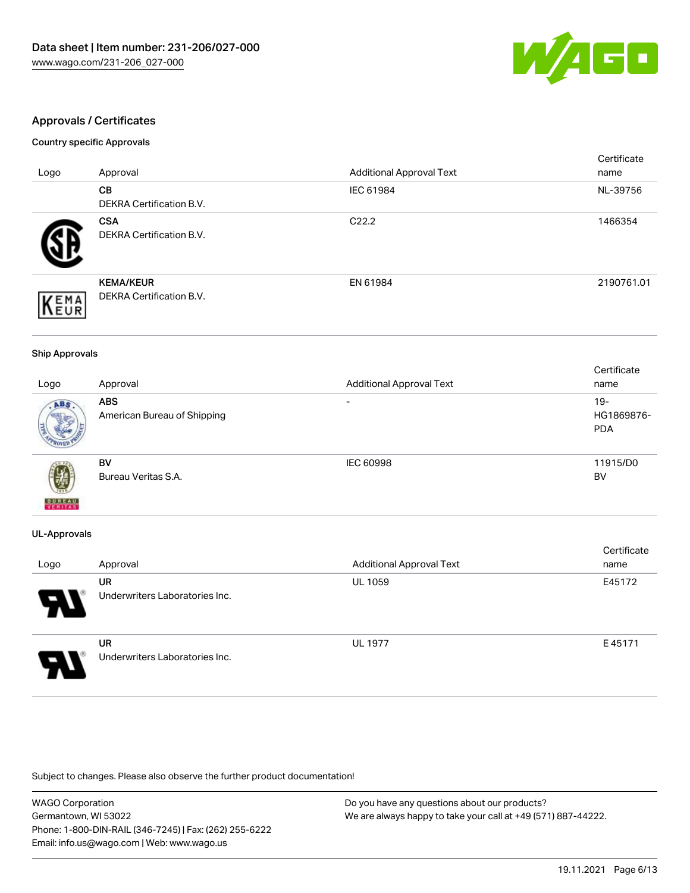

# Approvals / Certificates

#### Country specific Approvals

|              |                                 |                                 | Certificate |
|--------------|---------------------------------|---------------------------------|-------------|
| Logo         | Approval                        | <b>Additional Approval Text</b> | name        |
|              | <b>CB</b>                       | IEC 61984                       | NL-39756    |
|              | <b>DEKRA Certification B.V.</b> |                                 |             |
|              | <b>CSA</b>                      | C <sub>22.2</sub>               | 1466354     |
|              | <b>DEKRA Certification B.V.</b> |                                 |             |
|              | <b>KEMA/KEUR</b>                | EN 61984                        | 2190761.01  |
| EMA          | <b>DEKRA Certification B.V.</b> |                                 |             |
| <b>INEUR</b> |                                 |                                 |             |

#### Ship Approvals

|                          |                             |                                 | Certificate |
|--------------------------|-----------------------------|---------------------------------|-------------|
| Logo                     | Approval                    | <b>Additional Approval Text</b> | name        |
| ABS                      | <b>ABS</b>                  | $\overline{\phantom{0}}$        | $19 -$      |
|                          | American Bureau of Shipping |                                 | HG1869876-  |
|                          |                             |                                 | <b>PDA</b>  |
|                          |                             |                                 |             |
|                          | BV                          | <b>IEC 60998</b>                | 11915/D0    |
| Ŵ                        | Bureau Veritas S.A.         |                                 | BV          |
| <b>BUREAU</b><br>VERITAS |                             |                                 |             |

#### UL-Approvals

| Logo                  | Approval                             | <b>Additional Approval Text</b> | Certificate<br>name |
|-----------------------|--------------------------------------|---------------------------------|---------------------|
| $\boldsymbol{\theta}$ | UR<br>Underwriters Laboratories Inc. | <b>UL 1059</b>                  | E45172              |
| 5                     | UR<br>Underwriters Laboratories Inc. | <b>UL 1977</b>                  | E45171              |

| <b>WAGO Corporation</b>                                | Do you have any questions about our products?                 |
|--------------------------------------------------------|---------------------------------------------------------------|
| Germantown, WI 53022                                   | We are always happy to take your call at +49 (571) 887-44222. |
| Phone: 1-800-DIN-RAIL (346-7245)   Fax: (262) 255-6222 |                                                               |
| Email: info.us@wago.com   Web: www.wago.us             |                                                               |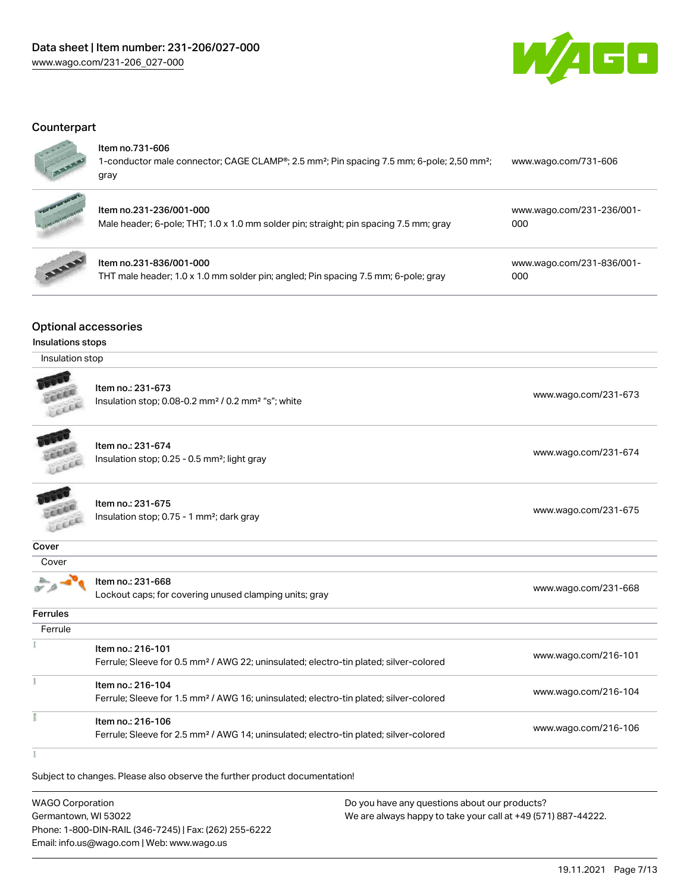

### **Counterpart**

| ï |
|---|
|   |

#### Item no.731-606

| 1-conductor male connector; CAGE CLAMP <sup>®</sup> ; 2.5 mm <sup>2</sup> ; Pin spacing 7.5 mm; 6-pole; 2,50 mm <sup>2</sup> ; | www.wago.com/731-606 |
|--------------------------------------------------------------------------------------------------------------------------------|----------------------|
| gray                                                                                                                           |                      |



# Item no.231-236/001-000

Male header; 6-pole; THT; 1.0 x 1.0 mm solder pin; straight; pin spacing 7.5 mm; gray [000](https://www.wago.com/231-236/001-000)



# Item no.231-836/001-000

THT male header; 1.0 x 1.0 mm solder pin; angled; Pin spacing 7.5 mm; 6-pole; gray

[www.wago.com/231-836/001-](https://www.wago.com/231-836/001-000) [000](https://www.wago.com/231-836/001-000)

[www.wago.com/231-236/001-](https://www.wago.com/231-236/001-000)

# Optional accessories

#### Insulations stops

| Insulation stop |  |
|-----------------|--|
|-----------------|--|

|                 | Item no.: 231-673<br>Insulation stop; 0.08-0.2 mm <sup>2</sup> / 0.2 mm <sup>2</sup> "s"; white                        | www.wago.com/231-673 |
|-----------------|------------------------------------------------------------------------------------------------------------------------|----------------------|
|                 | Item no.: 231-674<br>Insulation stop; 0.25 - 0.5 mm <sup>2</sup> ; light gray                                          | www.wago.com/231-674 |
|                 | Item no.: 231-675<br>Insulation stop; 0.75 - 1 mm <sup>2</sup> ; dark gray                                             | www.wago.com/231-675 |
| Cover           |                                                                                                                        |                      |
| Cover           |                                                                                                                        |                      |
|                 | Item no.: 231-668<br>Lockout caps; for covering unused clamping units; gray                                            | www.wago.com/231-668 |
| <b>Ferrules</b> |                                                                                                                        |                      |
| Ferrule         |                                                                                                                        |                      |
|                 | Item no.: 216-101<br>Ferrule; Sleeve for 0.5 mm <sup>2</sup> / AWG 22; uninsulated; electro-tin plated; silver-colored | www.wago.com/216-101 |
|                 | Item no.: 216-104                                                                                                      |                      |
|                 | Ferrule; Sleeve for 1.5 mm <sup>2</sup> / AWG 16; uninsulated; electro-tin plated; silver-colored                      | www.wago.com/216-104 |
|                 | Item no.: 216-106<br>Ferrule; Sleeve for 2.5 mm <sup>2</sup> / AWG 14; uninsulated; electro-tin plated; silver-colored | www.wago.com/216-106 |

ł

Subject to changes. Please also observe the further product documentation!

WAGO Corporation Germantown, WI 53022 Phone: 1-800-DIN-RAIL (346-7245) | Fax: (262) 255-6222 Email: info.us@wago.com | Web: www.wago.us Do you have any questions about our products? We are always happy to take your call at +49 (571) 887-44222.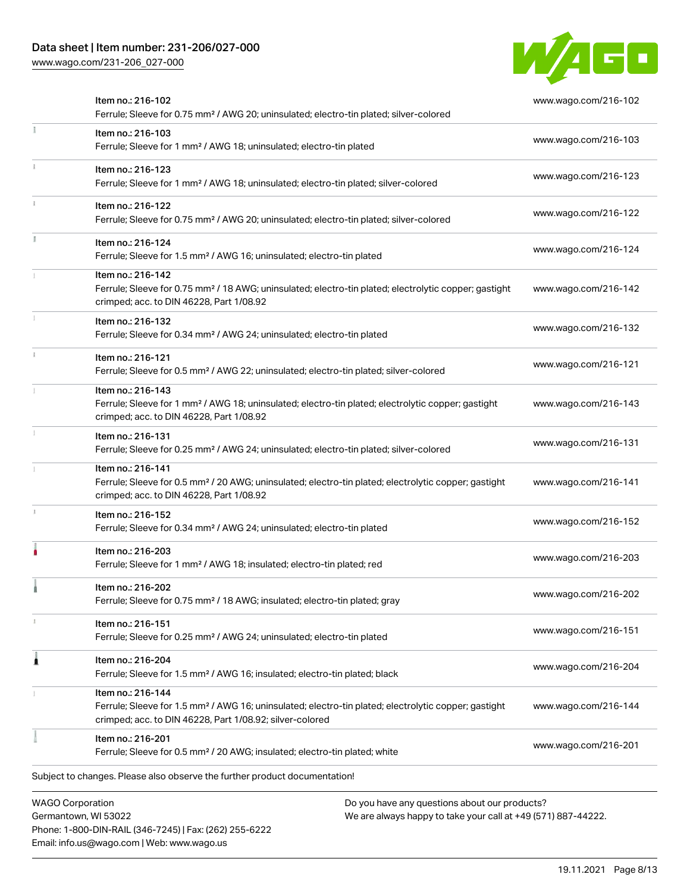Phone: 1-800-DIN-RAIL (346-7245) | Fax: (262) 255-6222

Email: info.us@wago.com | Web: www.wago.us

[www.wago.com/231-206\\_027-000](http://www.wago.com/231-206_027-000)



|                                                 | Item no.: 216-102<br>Ferrule; Sleeve for 0.75 mm <sup>2</sup> / AWG 20; uninsulated; electro-tin plated; silver-colored                                                                           |                                                                                                                | www.wago.com/216-102 |
|-------------------------------------------------|---------------------------------------------------------------------------------------------------------------------------------------------------------------------------------------------------|----------------------------------------------------------------------------------------------------------------|----------------------|
| ÷                                               | Item no.: 216-103<br>Ferrule; Sleeve for 1 mm <sup>2</sup> / AWG 18; uninsulated; electro-tin plated                                                                                              |                                                                                                                | www.wago.com/216-103 |
|                                                 | Item no.: 216-123<br>Ferrule; Sleeve for 1 mm <sup>2</sup> / AWG 18; uninsulated; electro-tin plated; silver-colored                                                                              |                                                                                                                | www.wago.com/216-123 |
|                                                 | Item no.: 216-122<br>Ferrule; Sleeve for 0.75 mm <sup>2</sup> / AWG 20; uninsulated; electro-tin plated; silver-colored                                                                           |                                                                                                                | www.wago.com/216-122 |
|                                                 | Item no.: 216-124<br>Ferrule; Sleeve for 1.5 mm <sup>2</sup> / AWG 16; uninsulated; electro-tin plated                                                                                            |                                                                                                                | www.wago.com/216-124 |
|                                                 | Item no.: 216-142<br>Ferrule; Sleeve for 0.75 mm <sup>2</sup> / 18 AWG; uninsulated; electro-tin plated; electrolytic copper; gastight<br>crimped; acc. to DIN 46228, Part 1/08.92                |                                                                                                                | www.wago.com/216-142 |
|                                                 | Item no.: 216-132<br>Ferrule; Sleeve for 0.34 mm <sup>2</sup> / AWG 24; uninsulated; electro-tin plated                                                                                           |                                                                                                                | www.wago.com/216-132 |
|                                                 | Item no.: 216-121<br>Ferrule; Sleeve for 0.5 mm <sup>2</sup> / AWG 22; uninsulated; electro-tin plated; silver-colored                                                                            |                                                                                                                | www.wago.com/216-121 |
|                                                 | Item no.: 216-143<br>Ferrule; Sleeve for 1 mm <sup>2</sup> / AWG 18; uninsulated; electro-tin plated; electrolytic copper; gastight<br>crimped; acc. to DIN 46228, Part 1/08.92                   |                                                                                                                | www.wago.com/216-143 |
|                                                 | Item no.: 216-131<br>Ferrule; Sleeve for 0.25 mm <sup>2</sup> / AWG 24; uninsulated; electro-tin plated; silver-colored                                                                           |                                                                                                                | www.wago.com/216-131 |
|                                                 | Item no.: 216-141<br>Ferrule; Sleeve for 0.5 mm <sup>2</sup> / 20 AWG; uninsulated; electro-tin plated; electrolytic copper; gastight<br>crimped; acc. to DIN 46228, Part 1/08.92                 |                                                                                                                | www.wago.com/216-141 |
|                                                 | Item no.: 216-152<br>Ferrule; Sleeve for 0.34 mm <sup>2</sup> / AWG 24; uninsulated; electro-tin plated                                                                                           |                                                                                                                | www.wago.com/216-152 |
|                                                 | Item no.: 216-203<br>Ferrule; Sleeve for 1 mm <sup>2</sup> / AWG 18; insulated; electro-tin plated; red                                                                                           |                                                                                                                | www.wago.com/216-203 |
|                                                 | Item no.: 216-202<br>Ferrule; Sleeve for 0.75 mm <sup>2</sup> / 18 AWG; insulated; electro-tin plated; gray                                                                                       |                                                                                                                | www.wago.com/216-202 |
|                                                 | Item no.: 216-151<br>Ferrule; Sleeve for 0.25 mm <sup>2</sup> / AWG 24; uninsulated; electro-tin plated                                                                                           |                                                                                                                | www.wago.com/216-151 |
| Â                                               | Item no.: 216-204<br>Ferrule; Sleeve for 1.5 mm <sup>2</sup> / AWG 16; insulated; electro-tin plated; black                                                                                       |                                                                                                                | www.wago.com/216-204 |
|                                                 | Item no.: 216-144<br>Ferrule; Sleeve for 1.5 mm <sup>2</sup> / AWG 16; uninsulated; electro-tin plated; electrolytic copper; gastight<br>crimped; acc. to DIN 46228, Part 1/08.92; silver-colored |                                                                                                                | www.wago.com/216-144 |
|                                                 | Item no.: 216-201<br>Ferrule; Sleeve for 0.5 mm <sup>2</sup> / 20 AWG; insulated; electro-tin plated; white                                                                                       |                                                                                                                | www.wago.com/216-201 |
|                                                 | Subject to changes. Please also observe the further product documentation!                                                                                                                        |                                                                                                                |                      |
| <b>WAGO Corporation</b><br>Germantown, WI 53022 |                                                                                                                                                                                                   | Do you have any questions about our products?<br>We are always happy to take your call at +49 (571) 887-44222. |                      |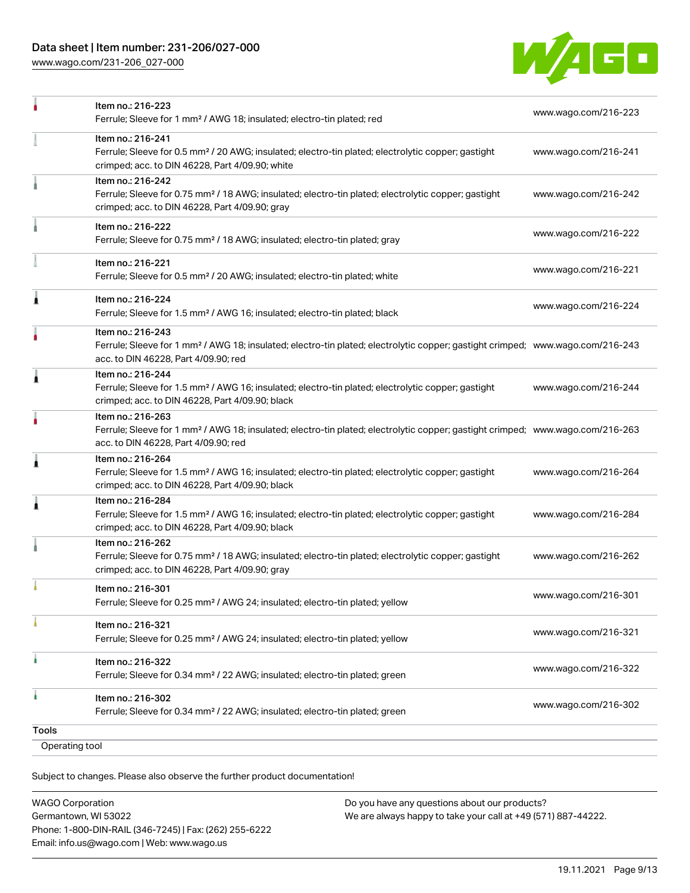[www.wago.com/231-206\\_027-000](http://www.wago.com/231-206_027-000)



|   | Item no.: 216-263                                                                                                                                                                      |                      |
|---|----------------------------------------------------------------------------------------------------------------------------------------------------------------------------------------|----------------------|
|   | Ferrule; Sleeve for 1 mm <sup>2</sup> / AWG 18; insulated; electro-tin plated; electrolytic copper; gastight crimped; www.wago.com/216-263<br>acc. to DIN 46228, Part 4/09.90; red     |                      |
| Â | Item no.: 216-264<br>Ferrule; Sleeve for 1.5 mm <sup>2</sup> / AWG 16; insulated; electro-tin plated; electrolytic copper; gastight<br>crimped; acc. to DIN 46228, Part 4/09.90; black | www.wago.com/216-264 |
| 1 | Item no.: 216-284<br>Ferrule; Sleeve for 1.5 mm <sup>2</sup> / AWG 16; insulated; electro-tin plated; electrolytic copper; gastight<br>crimped; acc. to DIN 46228, Part 4/09.90; black | www.wago.com/216-284 |
|   | Item no.: 216-262<br>Ferrule; Sleeve for 0.75 mm <sup>2</sup> / 18 AWG; insulated; electro-tin plated; electrolytic copper; gastight<br>crimped; acc. to DIN 46228, Part 4/09.90; gray | www.wago.com/216-262 |
|   | Item no.: 216-301<br>Ferrule; Sleeve for 0.25 mm <sup>2</sup> / AWG 24; insulated; electro-tin plated; yellow                                                                          | www.wago.com/216-301 |
|   | Item no.: 216-321<br>Ferrule; Sleeve for 0.25 mm <sup>2</sup> / AWG 24; insulated; electro-tin plated; yellow                                                                          | www.wago.com/216-321 |
|   | Item no.: 216-322<br>Ferrule; Sleeve for 0.34 mm <sup>2</sup> / 22 AWG; insulated; electro-tin plated; green                                                                           | www.wago.com/216-322 |
|   | Item no.: 216-302                                                                                                                                                                      |                      |

Subject to changes. Please also observe the further product documentation!

| <b>WAGO Corporation</b>                                |
|--------------------------------------------------------|
| Germantown, WI 53022                                   |
| Phone: 1-800-DIN-RAIL (346-7245)   Fax: (262) 255-6222 |
| Email: info.us@wago.com   Web: www.wago.us             |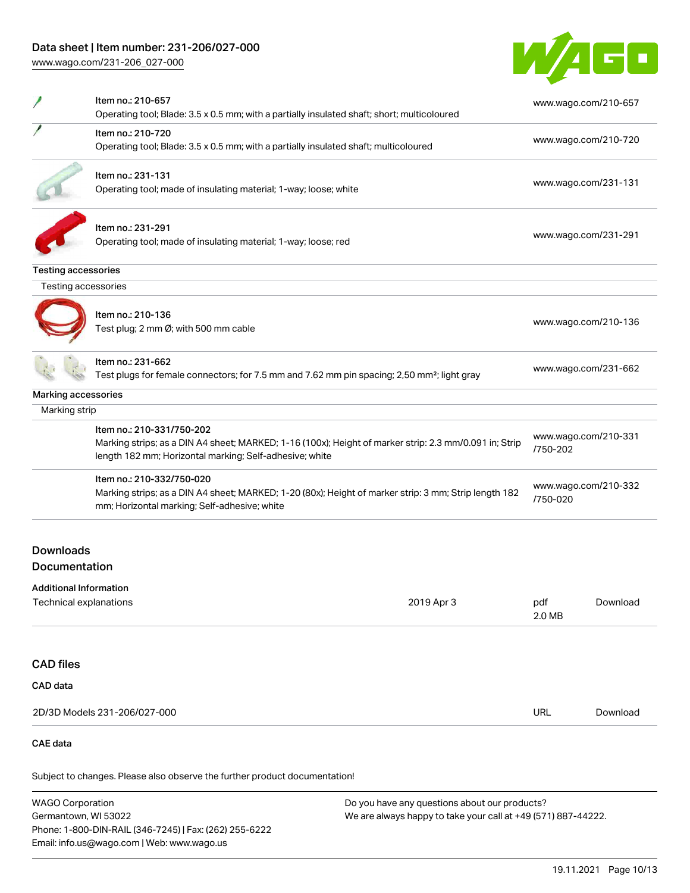Phone: 1-800-DIN-RAIL (346-7245) | Fax: (262) 255-6222

Email: info.us@wago.com | Web: www.wago.us

[www.wago.com/231-206\\_027-000](http://www.wago.com/231-206_027-000)



|                                                                                                                                                                   | Item no.: 210-657<br>Operating tool; Blade: 3.5 x 0.5 mm; with a partially insulated shaft; short; multicoloured                                                                               |            | www.wago.com/210-657             |                      |
|-------------------------------------------------------------------------------------------------------------------------------------------------------------------|------------------------------------------------------------------------------------------------------------------------------------------------------------------------------------------------|------------|----------------------------------|----------------------|
|                                                                                                                                                                   | Item no.: 210-720<br>Operating tool; Blade: 3.5 x 0.5 mm; with a partially insulated shaft; multicoloured                                                                                      |            | www.wago.com/210-720             |                      |
|                                                                                                                                                                   | Item no.: 231-131<br>Operating tool; made of insulating material; 1-way; loose; white                                                                                                          |            |                                  | www.wago.com/231-131 |
|                                                                                                                                                                   | Item no.: 231-291<br>Operating tool; made of insulating material; 1-way; loose; red                                                                                                            |            |                                  | www.wago.com/231-291 |
| <b>Testing accessories</b><br>Testing accessories                                                                                                                 |                                                                                                                                                                                                |            |                                  |                      |
|                                                                                                                                                                   |                                                                                                                                                                                                |            |                                  |                      |
|                                                                                                                                                                   | Item no.: 210-136<br>Test plug; 2 mm Ø; with 500 mm cable                                                                                                                                      |            |                                  | www.wago.com/210-136 |
|                                                                                                                                                                   | Item no.: 231-662<br>Test plugs for female connectors; for 7.5 mm and 7.62 mm pin spacing; 2,50 mm <sup>2</sup> ; light gray                                                                   |            | www.wago.com/231-662             |                      |
| Marking accessories                                                                                                                                               |                                                                                                                                                                                                |            |                                  |                      |
| Marking strip                                                                                                                                                     |                                                                                                                                                                                                |            |                                  |                      |
|                                                                                                                                                                   | Item no.: 210-331/750-202<br>Marking strips; as a DIN A4 sheet; MARKED; 1-16 (100x); Height of marker strip: 2.3 mm/0.091 in; Strip<br>length 182 mm; Horizontal marking; Self-adhesive; white |            | www.wago.com/210-331<br>/750-202 |                      |
|                                                                                                                                                                   | Item no.: 210-332/750-020<br>Marking strips; as a DIN A4 sheet; MARKED; 1-20 (80x); Height of marker strip: 3 mm; Strip length 182<br>mm; Horizontal marking; Self-adhesive; white             |            | www.wago.com/210-332<br>/750-020 |                      |
| <b>Downloads</b><br>Documentation<br><b>Additional Information</b>                                                                                                |                                                                                                                                                                                                |            |                                  |                      |
| Technical explanations                                                                                                                                            |                                                                                                                                                                                                | 2019 Apr 3 | pdf<br>2.0 MB                    | Download             |
| <b>CAD files</b>                                                                                                                                                  |                                                                                                                                                                                                |            |                                  |                      |
| CAD data                                                                                                                                                          |                                                                                                                                                                                                |            |                                  |                      |
|                                                                                                                                                                   | 2D/3D Models 231-206/027-000                                                                                                                                                                   |            | URL                              | Download             |
| <b>CAE</b> data                                                                                                                                                   |                                                                                                                                                                                                |            |                                  |                      |
|                                                                                                                                                                   | Subject to changes. Please also observe the further product documentation!                                                                                                                     |            |                                  |                      |
| <b>WAGO Corporation</b><br>Do you have any questions about our products?<br>Germantown, WI 53022<br>We are always happy to take your call at +49 (571) 887-44222. |                                                                                                                                                                                                |            |                                  |                      |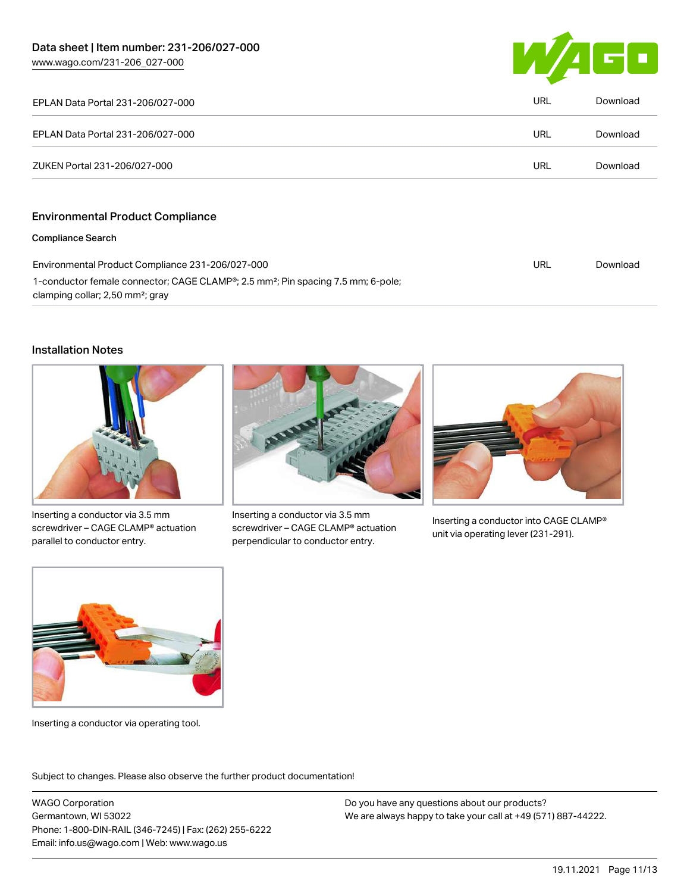

| EPLAN Data Portal 231-206/027-000       | URL | Download |
|-----------------------------------------|-----|----------|
| EPLAN Data Portal 231-206/027-000       | URL | Download |
| ZUKEN Portal 231-206/027-000            | URL | Download |
| <b>Environmental Product Compliance</b> |     |          |

#### Compliance Search

| Environmental Product Compliance 231-206/027-000                                                          | URL | Download |
|-----------------------------------------------------------------------------------------------------------|-----|----------|
| 1-conductor female connector; CAGE CLAMP <sup>®</sup> ; 2.5 mm <sup>2</sup> ; Pin spacing 7.5 mm; 6-pole; |     |          |
| clamping collar; 2,50 mm <sup>2</sup> ; gray                                                              |     |          |

# Installation Notes



Inserting a conductor via 3.5 mm screwdriver – CAGE CLAMP® actuation parallel to conductor entry.



Inserting a conductor via 3.5 mm screwdriver – CAGE CLAMP® actuation perpendicular to conductor entry.



Inserting a conductor into CAGE CLAMP® unit via operating lever (231-291).



Inserting a conductor via operating tool.

Subject to changes. Please also observe the further product documentation!

WAGO Corporation Germantown, WI 53022 Phone: 1-800-DIN-RAIL (346-7245) | Fax: (262) 255-6222 Email: info.us@wago.com | Web: www.wago.us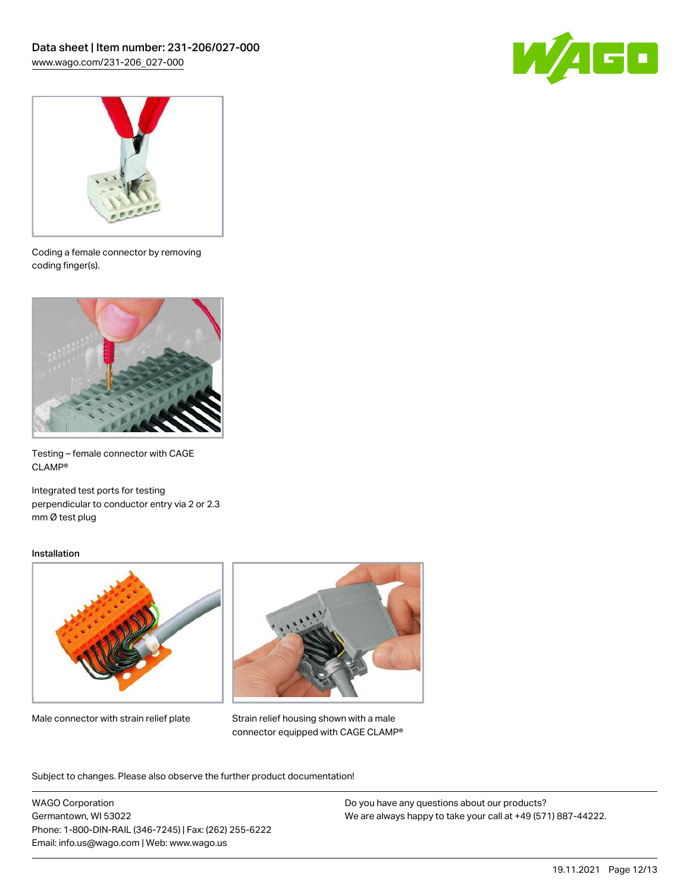



Coding a female connector by removing coding finger(s).



Testing – female connector with CAGE CLAMP®

Integrated test ports for testing perpendicular to conductor entry via 2 or 2.3 mm Ø test plug

#### Installation



Male connector with strain relief plate



Strain relief housing shown with a male connector equipped with CAGE CLAMP®

Subject to changes. Please also observe the further product documentation!

WAGO Corporation Germantown, WI 53022 Phone: 1-800-DIN-RAIL (346-7245) | Fax: (262) 255-6222 Email: info.us@wago.com | Web: www.wago.us